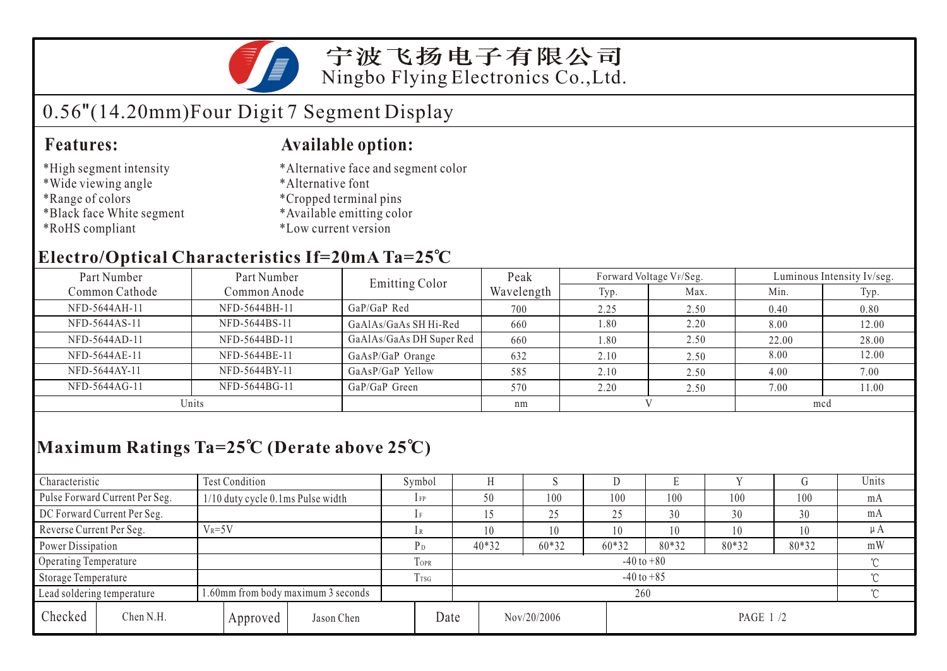

宁波飞扬电子有限公司 Ningbo Flying Electronics Co.,Ltd.

# 0.56"(14.20mm)Four Digit 7 Segment Display

### **Features: Available option:**

- \*High segment intensity
- \*Wide viewing angle
- \*Range of colors
- \*Black face White segment
- \*RoHS compliant
- \*Alternative face and segment color
- \*Alternative font
- \*Cropped terminal pins
- \*Available emitting color
- \*Low current version

### **Electro/Optical Characteristics If=20mA Ta=25 C**

| Part Number<br>Part Number |               | <b>Emitting Color</b>    | Peak       |      | Forward Voltage VF/Seg. | Luminous Intensity Iv/seg. |       |  |
|----------------------------|---------------|--------------------------|------------|------|-------------------------|----------------------------|-------|--|
| Common Cathode             | Common Anode  |                          | Wavelength | Typ. | Max.                    | Min.                       | Typ.  |  |
| NFD-5644AH-11              | NFD-5644BH-11 | $GaP/GaP$ Red            | 700        | 2.25 | 2.50                    | 0.40                       | 0.80  |  |
| NFD-5644AS-11              | NFD-5644BS-11 | GaAlAs/GaAs SH Hi-Red    | 660        | 1.80 | 2.20                    | 8.00                       | 12.00 |  |
| NFD-5644AD-11              | NFD-5644BD-11 | GaAlAs/GaAs DH Super Red | 660        | 1.80 | 2.50                    | 22.00                      | 28.00 |  |
| NFD-5644AE-11              | NFD-5644BE-11 | GaAsP/GaP Orange         | 632        | 2.10 | 2.50                    | 8.00                       | 12.00 |  |
| NFD-5644AY-11              | NFD-5644BY-11 | GaAsP/GaP Yellow         | 585        | 2.10 | 2.50                    | 4.00                       | 7.00  |  |
| NFD-5644AG-11              | NFD-5644BG-11 | GaP/GaP Green            | 570        | 2.20 | 2.50                    | 7.00                       | 11.00 |  |
| Units                      |               |                          | nm         |      |                         | mcd                        |       |  |

## **Maximum Ratings Ta=25 C (Derate above 25 C)**

| Characteristic                 |            | Test Condition                     |                 | Symbol |                |                          | ×.      |       | Е     |       |         | Units |
|--------------------------------|------------|------------------------------------|-----------------|--------|----------------|--------------------------|---------|-------|-------|-------|---------|-------|
| Pulse Forward Current Per Seg. |            | 1/10 duty cycle 0.1ms Pulse width  |                 | $1$ FP |                | 50                       | 100     | 100   | 100   | 100   | 100     | mA    |
| DC Forward Current Per Seg.    |            |                                    |                 |        |                |                          | 25      | 25    | 30    | 30    | 30      | mA    |
| Reverse Current Per Seg.       | $V_R = 5V$ |                                    | lR              |        | 10             | 10                       | 10      | 10    | 10    | 10    | $\mu A$ |       |
| Power Dissipation              |            |                                    |                 | $P_D$  |                | $40*32$                  | $60*32$ | 60*32 | 80*32 | 80*32 | 80*32   | mW    |
| Operating Temperature          |            |                                    | TOPR            |        | $-40$ to $+80$ |                          |         |       |       |       |         |       |
| Storage Temperature            |            |                                    | T <sub>sg</sub> |        | $-40$ to $+85$ |                          |         |       |       |       |         |       |
| Lead soldering temperature     |            | 1.60mm from body maximum 3 seconds |                 |        |                | 260                      |         |       |       |       |         |       |
| Checked                        | Chen N.H.  | Approved                           | Jason Chen      |        | Date           | Nov/20/2006<br>PAGE 1 /2 |         |       |       |       |         |       |